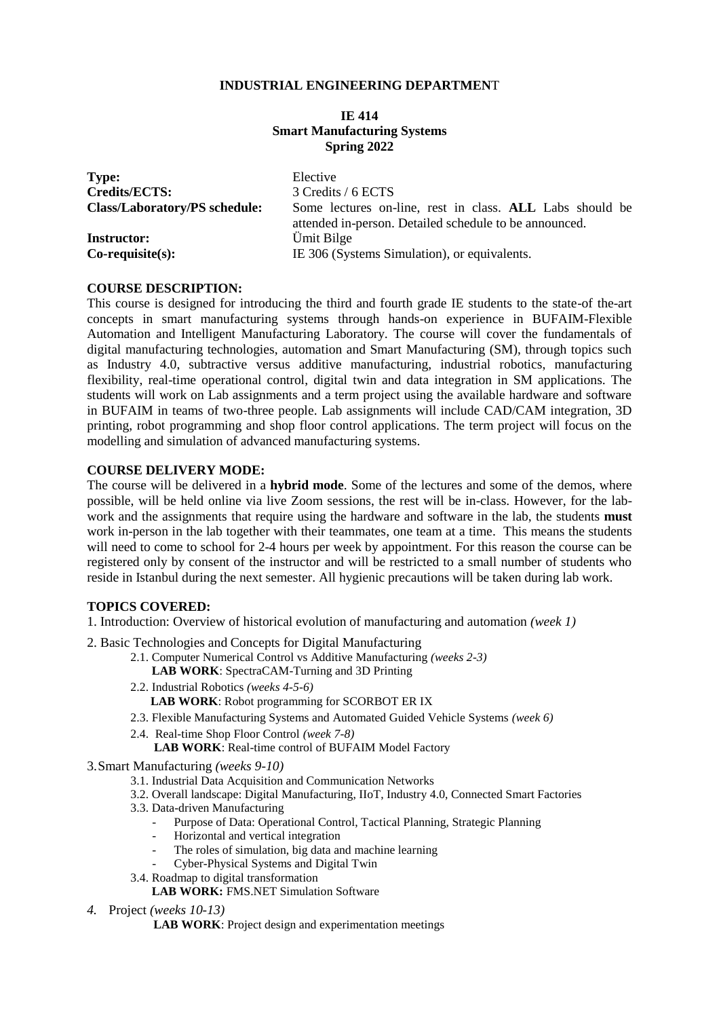### **INDUSTRIAL ENGINEERING DEPARTMEN**T

### **IE 414 Smart Manufacturing Systems Spring 2022**

| <b>Type:</b>                         | Elective                                                                                                           |
|--------------------------------------|--------------------------------------------------------------------------------------------------------------------|
| <b>Credits/ECTS:</b>                 | 3 Credits / 6 ECTS                                                                                                 |
| <b>Class/Laboratory/PS schedule:</b> | Some lectures on-line, rest in class. ALL Labs should be<br>attended in-person. Detailed schedule to be announced. |
| <b>Instructor:</b>                   | Ümit Bilge                                                                                                         |
| $Co$ -requisite $(s)$ :              | IE 306 (Systems Simulation), or equivalents.                                                                       |

#### **COURSE DESCRIPTION:**

This course is designed for introducing the third and fourth grade IE students to the state-of the-art concepts in smart manufacturing systems through hands-on experience in BUFAIM-Flexible Automation and Intelligent Manufacturing Laboratory. The course will cover the fundamentals of digital manufacturing technologies, automation and Smart Manufacturing (SM), through topics such as Industry 4.0, subtractive versus additive manufacturing, industrial robotics, manufacturing flexibility, real-time operational control, digital twin and data integration in SM applications. The students will work on Lab assignments and a term project using the available hardware and software in BUFAIM in teams of two-three people. Lab assignments will include CAD/CAM integration, 3D printing, robot programming and shop floor control applications. The term project will focus on the modelling and simulation of advanced manufacturing systems.

#### **COURSE DELIVERY MODE:**

The course will be delivered in a **hybrid mode**. Some of the lectures and some of the demos, where possible, will be held online via live Zoom sessions, the rest will be in-class. However, for the labwork and the assignments that require using the hardware and software in the lab, the students **must** work in-person in the lab together with their teammates, one team at a time. This means the students will need to come to school for 2-4 hours per week by appointment. For this reason the course can be registered only by consent of the instructor and will be restricted to a small number of students who reside in Istanbul during the next semester. All hygienic precautions will be taken during lab work.

#### **TOPICS COVERED:**

- 1. Introduction: Overview of historical evolution of manufacturing and automation *(week 1)*
- 2. Basic Technologies and Concepts for Digital Manufacturing
	- 2.1. Computer Numerical Control vs Additive Manufacturing *(weeks 2-3)*  **LAB WORK**: SpectraCAM-Turning and 3D Printing
	- 2.2. Industrial Robotics *(weeks 4-5-6)* LAB WORK: Robot programming for SCORBOT ER IX
	- 2.3. Flexible Manufacturing Systems and Automated Guided Vehicle Systems *(week 6)*
	- 2.4. Real-time Shop Floor Control *(week 7-8)*

LAB WORK: Real-time control of BUFAIM Model Factory

- 3.Smart Manufacturing *(weeks 9-10)*
	- 3.1. Industrial Data Acquisition and Communication Networks
	- 3.2. Overall landscape: Digital Manufacturing, IIoT, Industry 4.0, Connected Smart Factories
	- 3.3. Data-driven Manufacturing
		- Purpose of Data: Operational Control, Tactical Planning, Strategic Planning
		- Horizontal and vertical integration
		- The roles of simulation, big data and machine learning
		- Cyber-Physical Systems and Digital Twin
	- 3.4. Roadmap to digital transformation
		- **LAB WORK:** FMS.NET Simulation Software
- *4.* Project *(weeks 10-13)*
	- **LAB WORK**: Project design and experimentation meetings